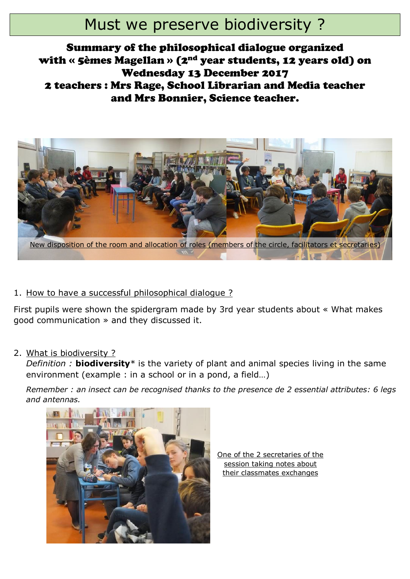# Must we preserve biodiversity ?

## Summary of the philosophical dialogue organized with « 5èmes Magellan » (2nd year students, 12 years old) on Wednesday 13 December 2017 2 teachers : Mrs Rage, School Librarian and Media teacher and Mrs Bonnier, Science teacher.



#### 1. How to have a successful philosophical dialogue ?

First pupils were shown the spidergram made by 3rd year students about « What makes good communication » and they discussed it.

2. What is biodiversity ?

*Definition :* **biodiversity**\* is the variety of plant and animal species living in the same environment (example : in a school or in a pond, a field…)

*Remember : an insect can be recognised thanks to the presence de 2 essential attributes: 6 legs and antennas.*



One of the 2 secretaries of the session taking notes about their classmates exchanges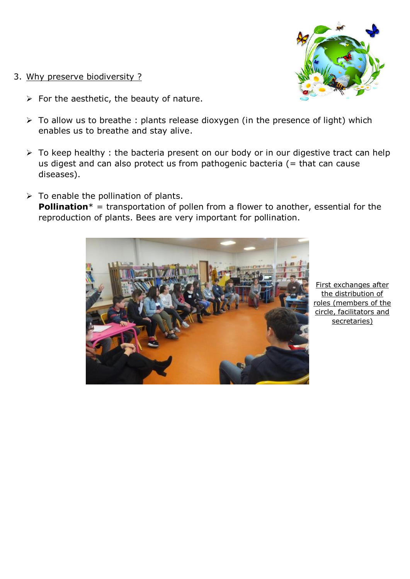- 3. Why preserve biodiversity ?
	- $\triangleright$  For the aesthetic, the beauty of nature.
	- $\triangleright$  To allow us to breathe : plants release dioxygen (in the presence of light) which enables us to breathe and stay alive.
	- $\triangleright$  To keep healthy : the bacteria present on our body or in our digestive tract can help us digest and can also protect us from pathogenic bacteria  $($  = that can cause diseases).
	- $\triangleright$  To enable the pollination of plants. **Pollination**\* = transportation of pollen from a flower to another, essential for the reproduction of plants. Bees are very important for pollination.



First exchanges after the distribution of roles (members of the circle, facilitators and secretaries)

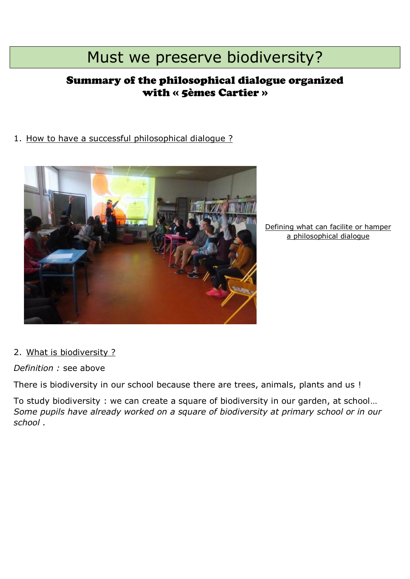# Must we preserve biodiversity?

## Summary of the philosophical dialogue organized with « 5èmes Cartier »

### 1. How to have a successful philosophical dialogue ?



Defining what can facilite or hamper a philosophical dialogue

#### 2. What is biodiversity ?

*Definition :* see above

There is biodiversity in our school because there are trees, animals, plants and us !

To study biodiversity : we can create a square of biodiversity in our garden, at school… *Some pupils have already worked on a square of biodiversity at primary school or in our school .*